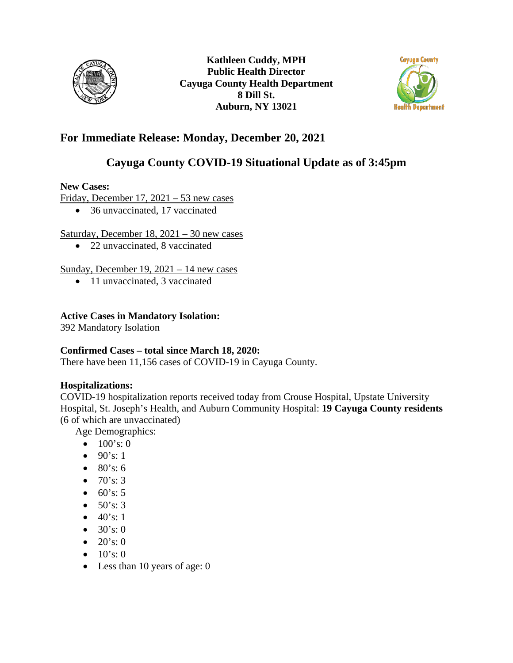



# **For Immediate Release: Monday, December 20, 2021**

# **Cayuga County COVID-19 Situational Update as of 3:45pm**

### **New Cases:**

Friday, December 17, 2021 – 53 new cases

• 36 unvaccinated, 17 vaccinated

### Saturday, December  $18, 2021 - 30$  new cases

• 22 unvaccinated, 8 vaccinated

## Sunday, December 19, 2021 – 14 new cases

• 11 unvaccinated, 3 vaccinated

## **Active Cases in Mandatory Isolation:**

392 Mandatory Isolation

### **Confirmed Cases – total since March 18, 2020:**

There have been 11,156 cases of COVID-19 in Cayuga County.

### **Hospitalizations:**

COVID-19 hospitalization reports received today from Crouse Hospital, Upstate University Hospital, St. Joseph's Health, and Auburn Community Hospital: **19 Cayuga County residents**  (6 of which are unvaccinated)

Age Demographics:

- $100's:0$
- $90's: 1$
- $80's: 6$
- $70's: 3$
- $60's: 5$
- $50's: 3$
- $40's: 1$
- $30's:0$
- $20's: 0$
- $10's: 0$
- Less than 10 years of age: 0